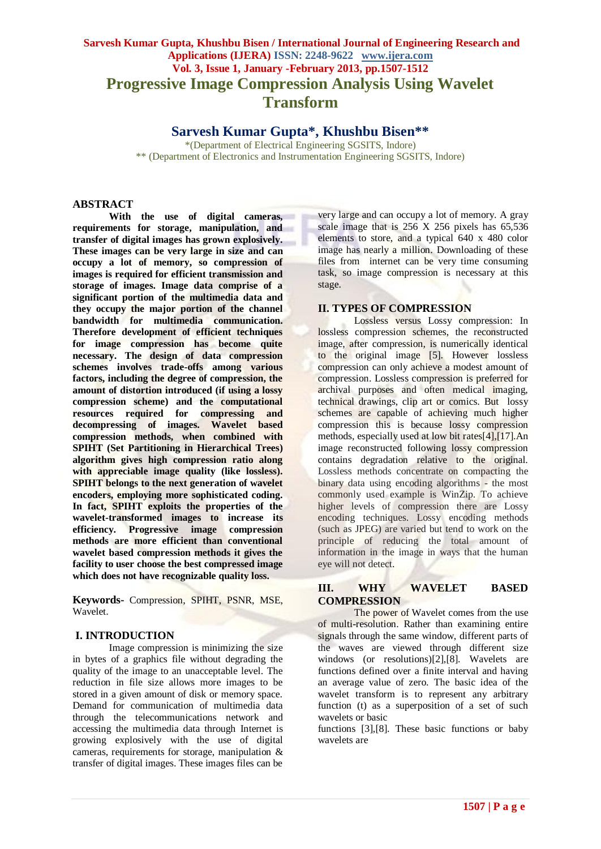# **Sarvesh Kumar Gupta, Khushbu Bisen / International Journal of Engineering Research and Applications (IJERA) ISSN: 2248-9622 www.ijera.com Vol. 3, Issue 1, January -February 2013, pp.1507-1512 Progressive Image Compression Analysis Using Wavelet Transform**

**Sarvesh Kumar Gupta\*, Khushbu Bisen\*\***

\*(Department of Electrical Engineering SGSITS, Indore) \*\* (Department of Electronics and Instrumentation Engineering SGSITS, Indore)

# **ABSTRACT**

**With the use of digital cameras, requirements for storage, manipulation, and transfer of digital images has grown explosively. These images can be very large in size and can occupy a lot of memory, so compression of images is required for efficient transmission and storage of images. Image data comprise of a significant portion of the multimedia data and they occupy the major portion of the channel bandwidth for multimedia communication. Therefore development of efficient techniques for image compression has become quite necessary. The design of data compression schemes involves trade-offs among various factors, including the degree of compression, the amount of distortion introduced (if using a lossy compression scheme) and the computational resources required for compressing and decompressing of images. Wavelet based compression methods, when combined with SPIHT (Set Partitioning in Hierarchical Trees) algorithm gives high compression ratio along with appreciable image quality (like lossless). SPIHT belongs to the next generation of wavelet encoders, employing more sophisticated coding. In fact, SPIHT exploits the properties of the wavelet-transformed images to increase its efficiency. Progressive image compression methods are more efficient than conventional wavelet based compression methods it gives the facility to user choose the best compressed image which does not have recognizable quality loss.**

**Keywords-** Compression, SPIHT, PSNR, MSE, Wavelet.

#### **I. INTRODUCTION**

Image compression is minimizing the size in bytes of a graphics file without degrading the quality of the image to an unacceptable level. The reduction in file size allows more images to be stored in a given amount of disk or memory space. Demand for communication of multimedia data through the telecommunications network and accessing the multimedia data through Internet is growing explosively with the use of digital cameras, requirements for storage, manipulation & transfer of digital images. These images files can be

very large and can occupy a lot of memory. A gray scale image that is 256 X 256 pixels has 65,536 elements to store, and a typical 640 x 480 color image has nearly a million. Downloading of these files from internet can be very time consuming task, so image compression is necessary at this stage.

### **II. TYPES OF COMPRESSION**

Lossless versus Lossy compression: In lossless compression schemes, the reconstructed image, after compression, is numerically identical to the original image [5]. However lossless compression can only achieve a modest amount of compression. Lossless compression is preferred for archival purposes and often medical imaging, technical drawings, clip art or comics. But lossy schemes are capable of achieving much higher compression this is because lossy compression methods, especially used at low bit rates[4],[17].An image reconstructed following lossy compression contains degradation relative to the original. Lossless methods concentrate on compacting the binary data using encoding algorithms - the most commonly used example is WinZip. To achieve higher levels of compression there are Lossy encoding techniques. Lossy encoding methods (such as JPEG) are varied but tend to work on the principle of reducing the total amount of information in the image in ways that the human eye will not detect.

### **III. WHY WAVELET BASED COMPRESSION**

The power of Wavelet comes from the use of multi-resolution. Rather than examining entire signals through the same window, different parts of the waves are viewed through different size windows (or resolutions)[2],[8]. Wavelets are functions defined over a finite interval and having an average value of zero. The basic idea of the wavelet transform is to represent any arbitrary function (t) as a superposition of a set of such wavelets or basic

functions [3],[8]. These basic functions or baby wavelets are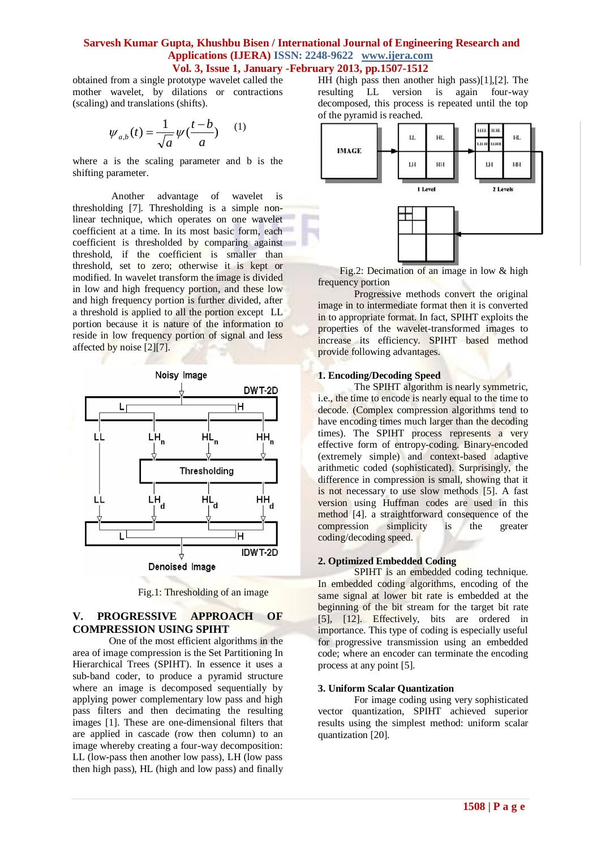obtained from a single prototype wavelet called the mother wavelet, by dilations or contractions (scaling) and translations (shifts).

$$
\psi_{a,b}(t) = \frac{1}{\sqrt{a}} \psi(\frac{t-b}{a}) \qquad (1)
$$

where a is the scaling parameter and b is the shifting parameter.

Another advantage of wavelet is thresholding [7]. Thresholding is a simple nonlinear technique, which operates on one wavelet coefficient at a time. In its most basic form, each coefficient is thresholded by comparing against threshold, if the coefficient is smaller than threshold, set to zero; otherwise it is kept or modified. In wavelet transform the image is divided in low and high frequency portion, and these low and high frequency portion is further divided, after a threshold is applied to all the portion except LL portion because it is nature of the information to reside in low frequency portion of signal and less affected by noise [2][7].



Fig.1: Thresholding of an image

# **V. PROGRESSIVE APPROACH OF COMPRESSION USING SPIHT**

One of the most efficient algorithms in the area of image compression is the Set Partitioning In Hierarchical Trees (SPIHT). In essence it uses a sub-band coder, to produce a pyramid structure where an image is decomposed sequentially by applying power complementary low pass and high pass filters and then decimating the resulting images [1]. These are one-dimensional filters that are applied in cascade (row then column) to an image whereby creating a four-way decomposition: LL (low-pass then another low pass), LH (low pass then high pass), HL (high and low pass) and finally

HH (high pass then another high pass)[1],[2]. The resulting LL version is again four-way decomposed, this process is repeated until the top of the pyramid is reached.



Fig.2: Decimation of an image in low & high frequency portion

Progressive methods convert the original image in to intermediate format then it is converted in to appropriate format. In fact, SPIHT exploits the properties of the wavelet-transformed images to increase its efficiency. SPIHT based method provide following advantages.

#### **1. Encoding/Decoding Speed**

The SPIHT algorithm is nearly symmetric, i.e., the time to encode is nearly equal to the time to decode. (Complex compression algorithms tend to have encoding times much larger than the decoding times). The SPIHT process represents a very effective form of entropy-coding. Binary-encoded (extremely simple) and context-based adaptive arithmetic coded (sophisticated). Surprisingly, the difference in compression is small, showing that it is not necessary to use slow methods [5]. A fast version using Huffman codes are used in this method [4]. a straightforward consequence of the compression simplicity is the greater coding/decoding speed.

#### **2. Optimized Embedded Coding**

SPIHT is an embedded coding technique. In embedded coding algorithms, encoding of the same signal at lower bit rate is embedded at the beginning of the bit stream for the target bit rate [5], [12]. Effectively, bits are ordered in importance. This type of coding is especially useful for progressive transmission using an embedded code; where an encoder can terminate the encoding process at any point [5].

#### **3. Uniform Scalar Quantization**

For image coding using very sophisticated vector quantization, SPIHT achieved superior results using the simplest method: uniform scalar quantization [20].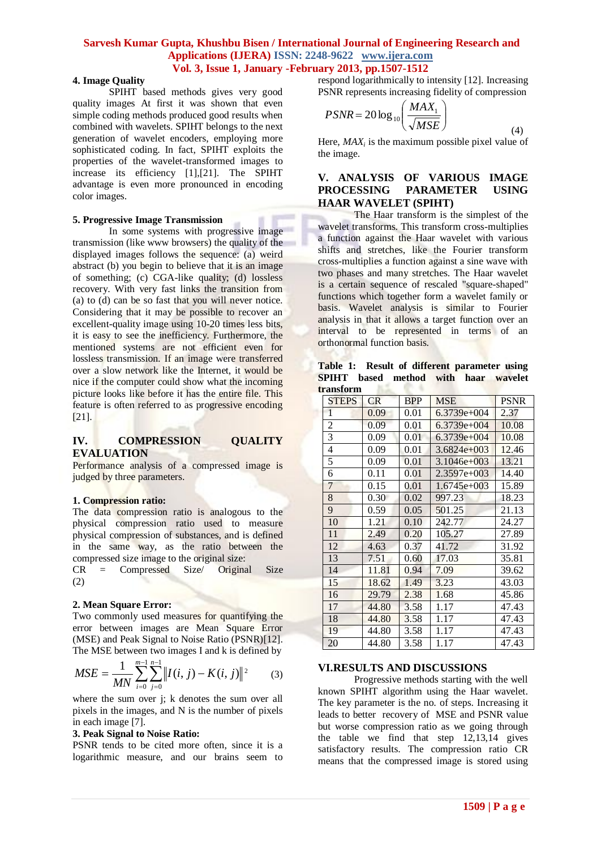#### **4. Image Quality**

SPIHT based methods gives very good quality images At first it was shown that even simple coding methods produced good results when combined with wavelets. SPIHT belongs to the next generation of wavelet encoders, employing more sophisticated coding. In fact, SPIHT exploits the properties of the wavelet-transformed images to increase its efficiency [1],[21]. The SPIHT advantage is even more pronounced in encoding color images.

#### **5. Progressive Image Transmission**

In some systems with progressive image transmission (like www browsers) the quality of the displayed images follows the sequence: (a) weird abstract (b) you begin to believe that it is an image of something; (c) CGA-like quality; (d) lossless recovery. With very fast links the transition from (a) to (d) can be so fast that you will never notice. Considering that it may be possible to recover an excellent-quality image using 10-20 times less bits, it is easy to see the inefficiency. Furthermore, the mentioned systems are not efficient even for lossless transmission. If an image were transferred over a slow network like the Internet, it would be nice if the computer could show what the incoming picture looks like before it has the entire file. This feature is often referred to as progressive encoding [21].

#### **IV. COMPRESSION QUALITY EVALUATION**

Performance analysis of a compressed image is judged by three parameters.

#### **1. Compression ratio:**

The data compression ratio is analogous to the physical compression ratio used to measure physical compression of substances, and is defined in the same way, as the ratio between the compressed size image to the original size:

CR = Compressed Size/ Original Size (2)

#### **2. Mean Square Error:**

Two commonly used measures for quantifying the error between images are Mean Square Error (MSE) and Peak Signal to Noise Ratio (PSNR)[12]. The MSE between two images I and k is defined by

$$
MSE = \frac{1}{MN} \sum_{i=0}^{m-1} \sum_{j=0}^{n-1} ||I(i, j) - K(i, j)||^2
$$
 (3)

where the sum over j; k denotes the sum over all pixels in the images, and N is the number of pixels in each image [7].

#### **3. Peak Signal to Noise Ratio:**

PSNR tends to be cited more often, since it is a logarithmic measure, and our brains seem to

respond logarithmically to intensity [12]. Increasing PSNR represents increasing fidelity of compression

$$
PSNR = 20 \log_{10} \left( \frac{MAX_1}{\sqrt{MSE}} \right)
$$
 (4)

Here,  $MAX_i$  is the maximum possible pixel value of the image.

# **V. ANALYSIS OF VARIOUS IMAGE PROCESSING PARAMETER USING HAAR WAVELET (SPIHT)**

The Haar transform is the simplest of the wavelet transforms. This transform cross-multiplies a function against the Haar wavelet with various shifts and stretches, like the Fourier transform cross-multiplies a function against a sine wave with two phases and many stretches. The Haar wavelet is a certain sequence of rescaled "square-shaped" functions which together form a wavelet family or basis. Wavelet analysis is similar to Fourier analysis in that it allows a target function over an interval to be represented in terms of an orthonormal function basis.

**Table 1: Result of different parameter using SPIHT based method with haar wavelet transform**

| а анэглэн |                |           |            |                 |             |
|-----------|----------------|-----------|------------|-----------------|-------------|
|           | <b>STEPS</b>   | <b>CR</b> | <b>BPP</b> | <b>MSE</b>      | <b>PSNR</b> |
|           | 1              | 0.09      | 0.01       | $6.3739e+004$   | 2.37        |
|           | $\overline{c}$ | 0.09      | 0.01       | $6.3739e+004$   | 10.08       |
|           | $\overline{3}$ | 0.09      | 0.01       | $6.3739e+004$   | 10.08       |
|           | $\overline{4}$ | 0.09      | 0.01       | $3.6824e+003$   | 12.46       |
|           | 5              | 0.09      | 0.01       | $3.1046e + 003$ | 13.21       |
|           | 6              | 0.11      | 0.01       | 2.3597e+003     | 14.40       |
|           | 7              | 0.15      | 0.01       | $1.6745e+003$   | 15.89       |
|           | 8              | 0.30      | 0.02       | 997.23          | 18.23       |
|           | 9              | 0.59      | 0.05       | 501.25          | 21.13       |
|           | 10             | 1.21      | 0.10       | 242.77          | 24.27       |
|           | 11             | 2.49      | 0.20       | 105.27          | 27.89       |
|           | 12             | 4.63      | 0.37       | 41.72           | 31.92       |
|           | 13             | 7.51      | 0.60       | 17.03           | 35.81       |
|           | 14             | 11.81     | 0.94       | 7.09            | 39.62       |
|           | 15             | 18.62     | 1.49       | 3.23            | 43.03       |
|           | 16             | 29.79     | 2.38       | 1.68            | 45.86       |
|           | 17             | 44.80     | 3.58       | 1.17            | 47.43       |
|           | 18             | 44.80     | 3.58       | 1.17            | 47.43       |
|           | 19             | 44.80     | 3.58       | 1.17            | 47.43       |
|           | 20             | 44.80     | 3.58       | 1.17            | 47.43       |

#### **VI.RESULTS AND DISCUSSIONS**

Progressive methods starting with the well known SPIHT algorithm using the Haar wavelet. The key parameter is the no. of steps. Increasing it leads to better recovery of MSE and PSNR value but worse compression ratio as we going through the table we find that step 12,13,14 gives satisfactory results. The compression ratio CR means that the compressed image is stored using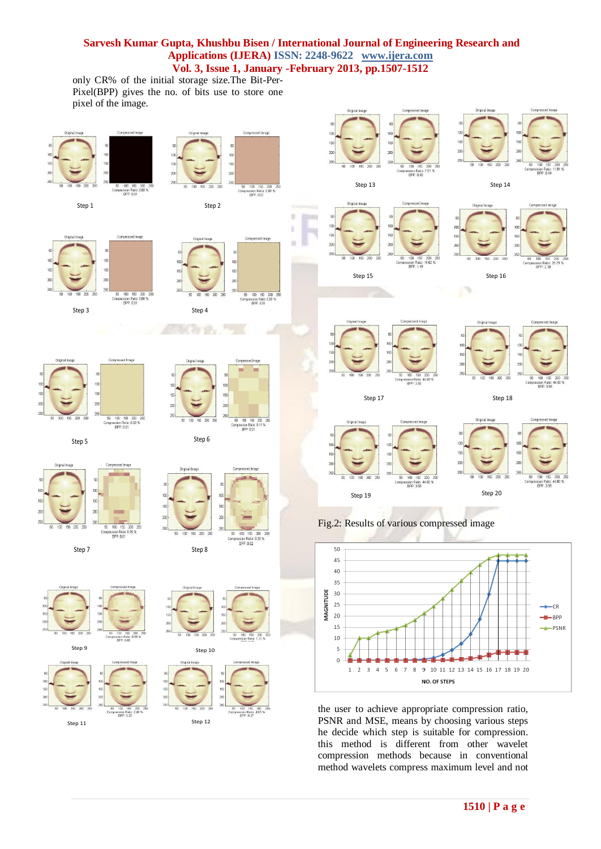only CR% of the initial storage size.The Bit-Per-Pixel(BPP) gives the no. of bits use to store one pixel of the image.



compression methods because in conventional method wavelets compress maximum level and not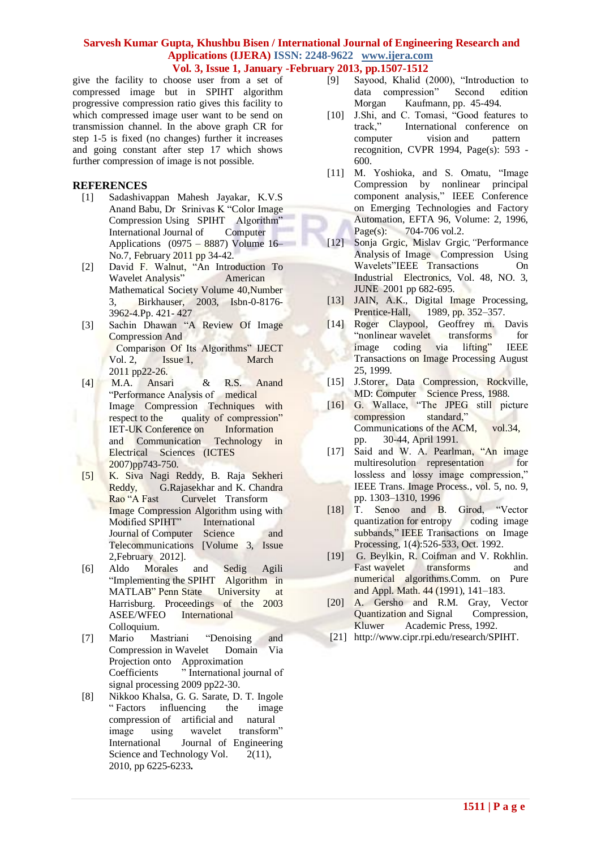give the facility to choose user from a set of compressed image but in SPIHT algorithm progressive compression ratio gives this facility to which compressed image user want to be send on transmission channel. In the above graph CR for step 1-5 is fixed (no changes) further it increases and going constant after step 17 which shows further compression of image is not possible.

# **REFERENCES**

- [1] Sadashivappan Mahesh Jayakar, K.V.S Anand Babu, Dr Srinivas K "Color Image Compression Using SPIHT Algorithm" International Journal of Computer Applications  $(0975 - 8887)$  Volume 16– No.7, February 2011 pp 34-42.
- [2] David F. Walnut, "An Introduction To Wavelet Analysis" American Mathematical Society Volume 40,Number 3, Birkhauser, 2003, Isbn-0-8176- 3962-4.Pp. 421- 427
- [3] Sachin Dhawan "A Review Of Image Compression And Comparison Of Its Algorithms" IJECT Vol. 2, Issue 1, March 2011 pp22-26.
- [4] M.A. Ansari & R.S. Anand "Performance Analysis of medical Image Compression Techniques with respect to the quality of compression" IET-UK Conference on Information and Communication Technology in Electrical Sciences (ICTES 2007)pp743-750.
- [5] K. Siva Nagi Reddy, B. Raja Sekheri Reddy, G.Rajasekhar and K. Chandra Rao "A Fast Curvelet Transform Image Compression Algorithm using with Modified SPIHT" International Journal of Computer Science and Telecommunications [Volume 3, Issue 2,February 2012].
- [6] Aldo Morales and Sedig Agili "Implementing the SPIHT Algorithm in MATLAB" Penn State University at Harrisburg. Proceedings of the 2003 ASEE/WFEO International Colloquium.
- [7] Mario Mastriani "Denoising and Compression in Wavelet Domain Via Projection onto Approximation Coefficients " International journal of signal processing 2009 pp22-30.
- [8] Nikkoo Khalsa, G. G. Sarate, D. T. Ingole " Factors influencing the image compression of artificial and natural image using wavelet transform" International Journal of Engineering Science and Technology Vol.  $2(11)$ , 2010, pp 6225-6233**.**
- [9] Sayood, Khalid (2000), "Introduction to data compression" Second edition Morgan Kaufmann, pp. 45-494.
- [10] J.Shi, and C. Tomasi, "Good features to track," International conference on computer vision and pattern recognition, CVPR 1994, Page(s): 593 - 600.
- [11] M. Yoshioka, and S. Omatu, "Image Compression by nonlinear principal component analysis," IEEE Conference on Emerging Technologies and Factory Automation, EFTA 96, Volume: 2, 1996, Page(s): 704-706 vol.2.
- [12] Sonja Grgic, Mislav Grgic*,"*Performance Analysis of Image Compression Using Wavelets"IEEE Transactions On Industrial Electronics, Vol. 48, NO. 3, JUNE 2001 pp 682-695.
- [13] JAIN, A.K., Digital Image Processing,<br>Prentice-Hall, 1989, pp. 352–357. 1989, pp. 352–357.
- [14] Roger Claypool, Geoffrey m. Davis "nonlinear wavelet transforms for image coding via lifting" IEEE Transactions on Image Processing August 25, 1999.
- [15] J.Storer, Data Compression, Rockville, MD: Computer Science Press, 1988.
- [16] G. Wallace, "The JPEG still picture compression standard," Communications of the ACM, vol.34, pp. 30-44, April 1991.
- [17] Said and W. A. Pearlman, "An image multiresolution representation for lossless and lossy image compression," IEEE Trans. Image Process., vol. 5, no. 9, pp. 1303–1310, 1996
- [18] T. Senoo and B. Girod, "Vector quantization for entropy coding image subbands," IEEE Transactions on Image Processing, 1(4):526-533, Oct. 1992.
- [19] G. Beylkin, R. Coifman and V. Rokhlin. Fast wavelet transforms and numerical algorithms.Comm. on Pure and Appl. Math. 44 (1991), 141–183.
- [20] A. Gersho and R.M. Gray, Vector Quantization and Signal Compression, Kluwer Academic Press, 1992.
- [21] http://www.cipr.rpi.edu/research/SPIHT.